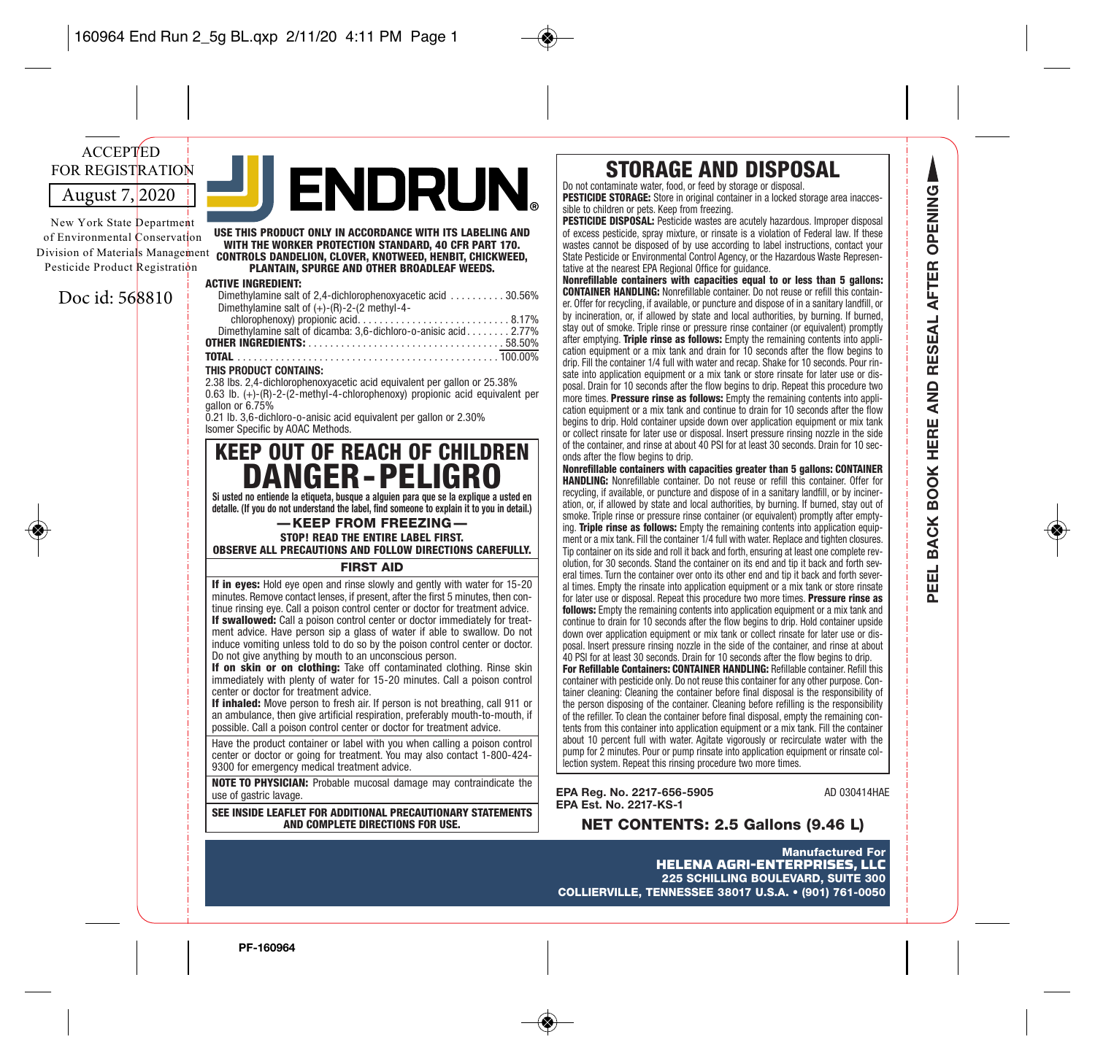# August 7, 2020 ACCEPTED FOR REGISTRATION

New York State Department of Environmental Conservation Division of Materials Managemen Pesticide Product Registration

# Doc id: 568810

| USE THIS PRODUCT ONLY IN ACCORDANCE WITH ITS LABELING AND<br>WITH THE WORKER PROTECTION STANDARD, 40 CFR PART 170.<br>$t$ controls dandelion, clover, knotweed, henbit, chickweed,<br>PLANTAIN. SPURGE AND OTHER BROADLEAF WEEDS. |
|-----------------------------------------------------------------------------------------------------------------------------------------------------------------------------------------------------------------------------------|
| <b>ACTIVE INGREDIENT:</b>                                                                                                                                                                                                         |
| Dimethylamine salt of 2,4-dichlorophenoxyacetic acid 30.56%                                                                                                                                                                       |
| Dimethylamine salt of $(+)$ - $(R)$ -2- $(2 \text{ methyl-4-})$                                                                                                                                                                   |
|                                                                                                                                                                                                                                   |
| Dimethylamine salt of dicamba: 3,6-dichloro-o-anisic acid 2.77%                                                                                                                                                                   |
| FO FOLL                                                                                                                                                                                                                           |

NDRUN

**OTHER INGREDIENTS:** . . . . . . . . . . . . . . . . . . . . . . . . . . . . . . . . . . . . 58.50% **TOTAL** . . . . . . . . . . . . . . . . . . . . . . . . . . . . . . . . . . . . . . . . . . . . . . . . 100.00% **THIS PRODUCT CONTAINS:** 2.38 lbs. 2,4-dichlorophenoxyacetic acid equivalent per gallon or 25.38%

0.63 lb. (+)-(R)-2-(2-methyl-4-chlorophenoxy) propionic acid equivalent per gallon or 6.75%

0.21 lb. 3,6-dichloro-o-anisic acid equivalent per gallon or 2.30% Isomer Specific by AOAC Methods.

# **KEEP OUT OF REACH OF CHILDREN DANGER-PELIGRO**

**Si usted no entiende la etiqueta, busque a alguien para que se la explique a usted en detalle. (If you do not understand the label, find someone to explain it to you in detail.)**

— KEEP FROM FREEZING — **STOP! READ THE ENTIRE LABEL FIRST.** 

**OBSERVE ALL PRECAUTIONS AND FOLLOW DIRECTIONS CAREFULLY.**

## FIRST AID

**If in eyes:** Hold eye open and rinse slowly and gently with water for 15-20 minutes. Remove contact lenses, if present, after the first 5 minutes, then continue rinsing eye. Call a poison control center or doctor for treatment advice. **If swallowed:** Call a poison control center or doctor immediately for treatment advice. Have person sip a glass of water if able to swallow. Do not induce vomiting unless told to do so by the poison control center or doctor. Do not give anything by mouth to an unconscious person.

**If on skin or on clothing:** Take off contaminated clothing. Rinse skin immediately with plenty of water for 15-20 minutes. Call a poison control center or doctor for treatment advice.

**If inhaled:** Move person to fresh air. If person is not breathing, call 911 or an ambulance, then give artificial respiration, preferably mouth-to-mouth, if possible. Call a poison control center or doctor for treatment advice.

Have the product container or label with you when calling a poison control center or doctor or going for treatment. You may also contact 1-800-424- 9300 for emergency medical treatment advice.

**NOTE TO PHYSICIAN:** Probable mucosal damage may contraindicate the use of gastric lavage.

**SEE INSIDE LEAFLET FOR ADDITIONAL PRECAUTIONARY STATEMENTS AND COMPLETE DIRECTIONS FOR USE.**

# **STORAGE AND DISPOSAL**

Do not contaminate water, food, or feed by storage or disposal. **PESTICIDE STORAGE:** Store in original container in a locked storage area inacces-

sible to children or pets. Keep from freezing. **PESTICIDE DISPOSAL:** Pesticide wastes are acutely hazardous. Improper disposal of excess pesticide, spray mixture, or rinsate is a violation of Federal law. If these

wastes cannot be disposed of by use according to label instructions, contact your State Pesticide or Environmental Control Agency, or the Hazardous Waste Representative at the nearest EPA Regional Office for guidance.

**Nonrefillable containers with capacities equal to or less than 5 gallons: CONTAINER HANDLING:** Nonrefillable container. Do not reuse or refill this container. Offer for recycling, if available, or puncture and dispose of in a sanitary landfill, or by incineration, or, if allowed by state and local authorities, by burning. If burned, stay out of smoke. Triple rinse or pressure rinse container (or equivalent) promptly after emptying. **Triple rinse as follows:** Empty the remaining contents into application equipment or a mix tank and drain for 10 seconds after the flow begins to drip. Fill the container 1/4 full with water and recap. Shake for 10 seconds. Pour rinsate into application equipment or a mix tank or store rinsate for later use or disposal. Drain for 10 seconds after the flow begins to drip. Repeat this procedure two more times. **Pressure rinse as follows:** Empty the remaining contents into application equipment or a mix tank and continue to drain for 10 seconds after the flow begins to drip. Hold container upside down over application equipment or mix tank or collect rinsate for later use or disposal. Insert pressure rinsing nozzle in the side of the container, and rinse at about 40 PSI for at least 30 seconds. Drain for 10 seconds after the flow begins to drip.

**Nonrefillable containers with capacities greater than 5 gallons: CONTAINER HANDLING:** Nonrefillable container. Do not reuse or refill this container. Offer for recycling, if available, or puncture and dispose of in a sanitary landfill, or by incineration, or, if allowed by state and local authorities, by burning. If burned, stay out of smoke. Triple rinse or pressure rinse container (or equivalent) promptly after emptying. **Triple rinse as follows:** Empty the remaining contents into application equipment or a mix tank. Fill the container 1/4 full with water. Replace and tighten closures. Tip container on its side and roll it back and forth, ensuring at least one complete revolution, for 30 seconds. Stand the container on its end and tip it back and forth several times. Turn the container over onto its other end and tip it back and forth several times. Empty the rinsate into application equipment or a mix tank or store rinsate for later use or disposal. Repeat this procedure two more times. **Pressure rinse as follows:** Empty the remaining contents into application equipment or a mix tank and continue to drain for 10 seconds after the flow begins to drip. Hold container upside down over application equipment or mix tank or collect rinsate for later use or disposal. Insert pressure rinsing nozzle in the side of the container, and rinse at about 40 PSI for at least 30 seconds. Drain for 10 seconds after the flow begins to drip.

**For Refillable Containers: CONTAINER HANDLING:** Refillable container. Refill this container with pesticide only. Do not reuse this container for any other purpose. Container cleaning: Cleaning the container before final disposal is the responsibility of the person disposing of the container. Cleaning before refilling is the responsibility of the refiller. To clean the container before final disposal, empty the remaining contents from this container into application equipment or a mix tank. Fill the container about 10 percent full with water. Agitate vigorously or recirculate water with the pump for 2 minutes. Pour or pump rinsate into application equipment or rinsate collection system. Repeat this rinsing procedure two more times.

**EPA Reg. No. 2217-656-5905** AD 030414HAE<br> **EPA Est. No. 2217-KS-1** 

**NET CONTENTS: 2.5 Gallons (9.46 L)** 

Manufactured For HELENA AGRI-ENTERPRISES, LLC 225 SCHILLING BOULEVARD, SUITE 300 COLLIERVILLE, TENNESSEE 38017 U.S.A. • (901) 761-0050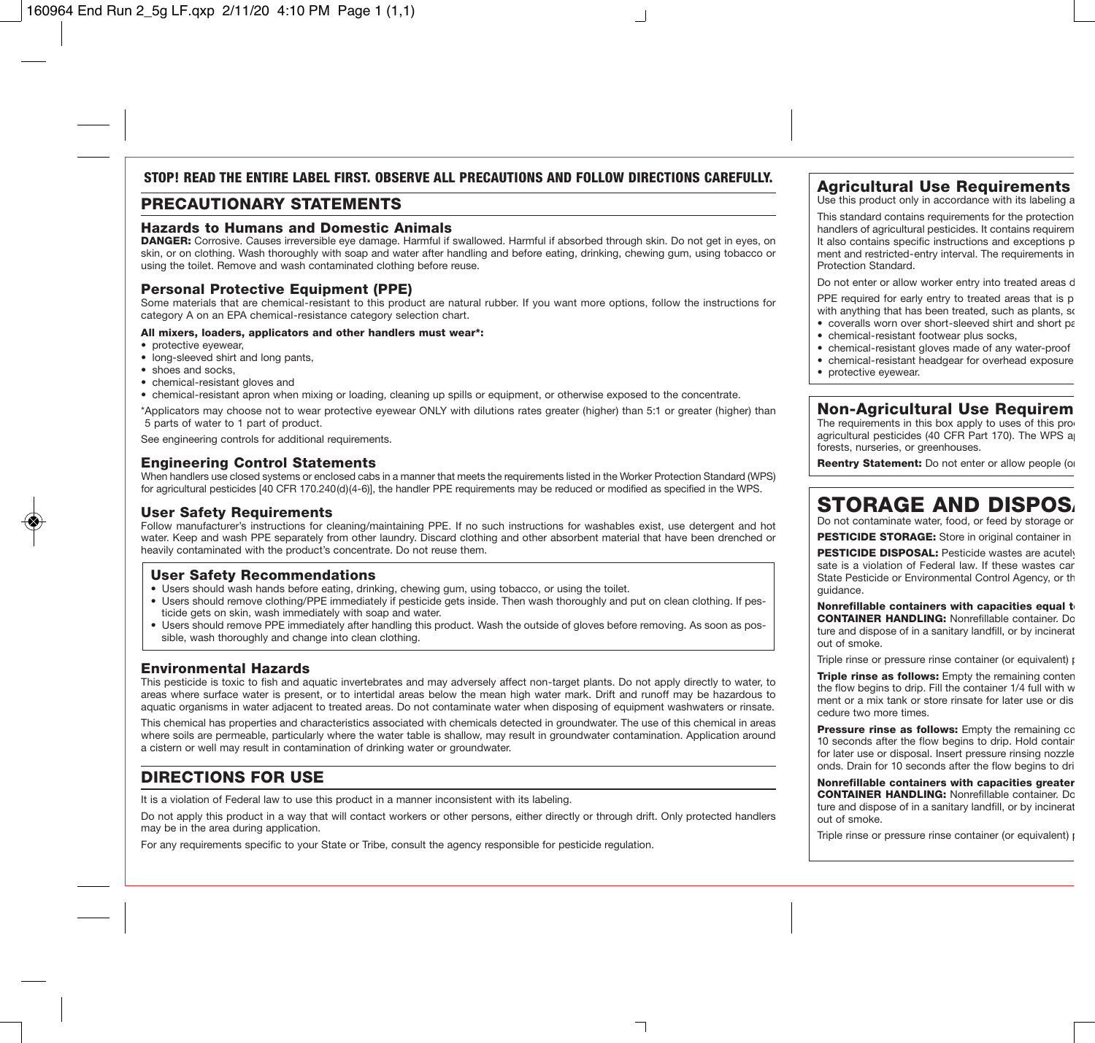# STOP! READ THE ENTIRE LAREL FIRST. ORSERVE ALL PRECAUTIONS AND FOLLOW DIRECTIONS CAREFULLY

# PRECAUTIONARY STATEMENTS

# Hazards to Humans and Domestic Animals

DANGER: Corrosive. Causes irreversible eve damage. Harmful if swallowed. Harmful if absorbed through skin. Do not get in eyes, on skin, or on clothing. Wash thoroughly with soap and water after handling and before eating, drinking, chewing gum, using tobacco or using the toilet. Remove and wash contaminated clothing before reuse.

# Personal Protective Equipment (PPE)

Some materials that are chemical-resistant to this product are natural rubber. If you want more options, follow the instructions for category A on an EPA chemical-resistance category selection chart.

#### All mixers, loaders, applicators and other handlers must wear\*:

- protective eyewear,
- long-sleeved shirt and long pants,
- shoes and socks
- chemical-resistant gloves and
- chemical-resistant apron when mixing or loading, cleaning up spills or equipment, or otherwise exposed to the concentrate.

\*Applicators may choose not to wear protective eyewear ONLY with dilutions rates greater (higher) than 5:1 or greater (higher) than 5 parts of water to 1 part of product.

See engineering controls for additional requirements.

# Engineering Control Statements

When handlers use closed systems or enclosed cabs in a manner that meets the requirements listed in the Worker Protection Standard (WPS) for agricultural pesticides [40 CFR 170.240(d)(4-6)], the handler PPE requirements may be reduced or modified as specified in the WPS.

## User Safety Requirements

Follow manufacturer's instructions for cleaning/maintaining PPE. If no such instructions for washables exist, use detergent and hot water. Keep and wash PPE separately from other laundry. Discard clothing and other absorbent material that have been drenched or heavily contaminated with the product's concentrate. Do not reuse them.

## User Safety Recommendations

- Users should wash hands before eating, drinking, chewing gum, using tobacco, or using the toilet.
- Users should remove clothing/PPE immediately if pesticide gets inside. Then wash thoroughly and put on clean clothing. If pesticide gets on skin, wash immediately with soap and water.
- Users should remove PPE immediately after handling this product. Wash the outside of gloves before removing. As soon as possible, wash thoroughly and change into clean clothing.

# Environmental Hazards

This pesticide is toxic to fish and aquatic invertebrates and may adversely affect non-target plants. Do not apply directly to water, to areas where surface water is present, or to intertidal areas below the mean high water mark. Drift and runoff may be hazardous to aquatic organisms in water adjacent to treated areas. Do not contaminate water when disposing of equipment washwaters or rinsate.

This chemical has properties and characteristics associated with chemicals detected in groundwater. The use of this chemical in areas where soils are permeable, particularly where the water table is shallow, may result in groundwater contamination. Application around a cistern or well may result in contamination of drinking water or groundwater.

# DIRECTIONS FOR USE

It is a violation of Federal law to use this product in a manner inconsistent with its labeling.

Do not apply this product in a way that will contact workers or other persons, either directly or through drift. Only protected handlers may be in the area during application.

For any requirements specific to your State or Tribe, consult the agency responsible for pesticide regulation.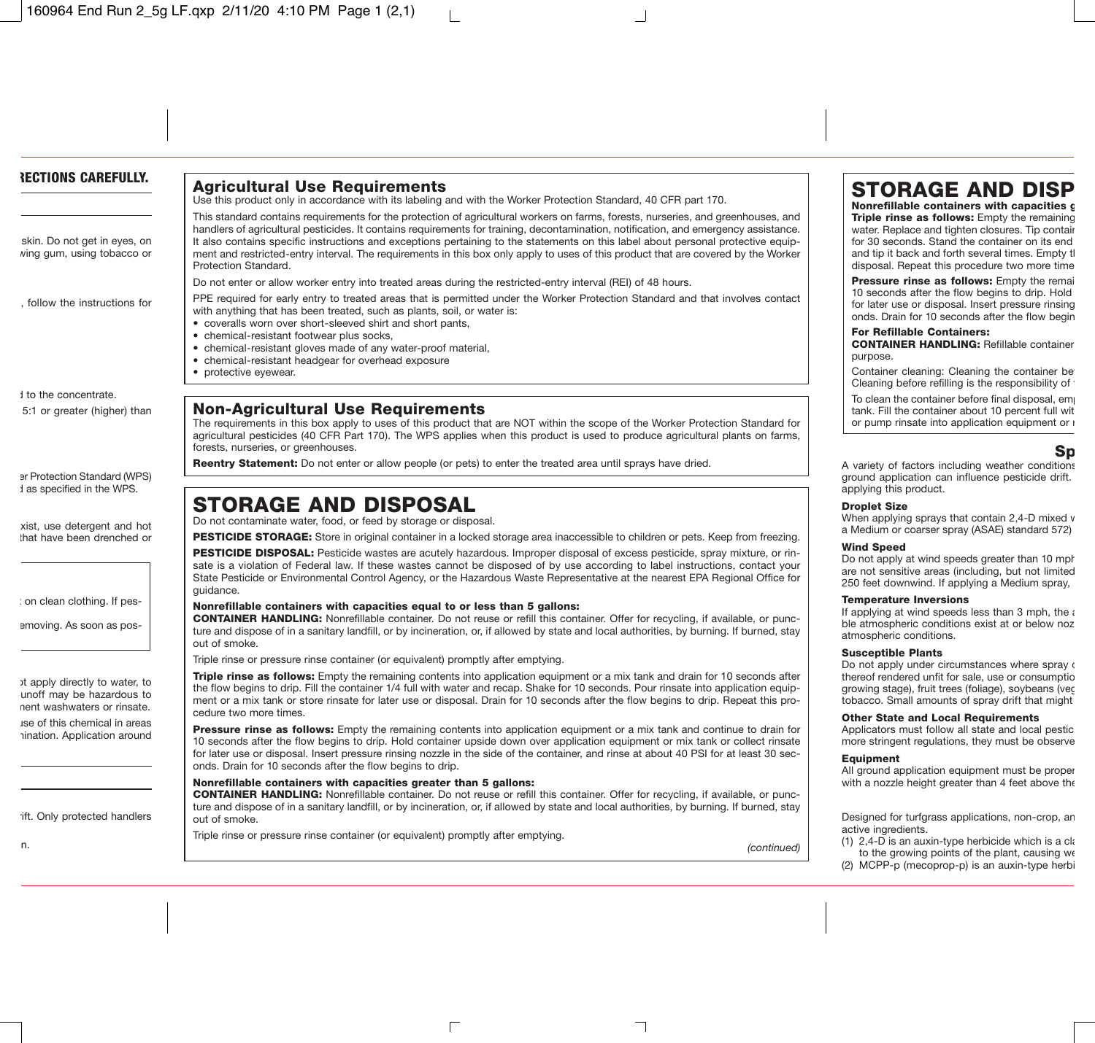# Agricultural Use Requirements

Use this product only in accordance with its labeling and with the Worker Protection Standard, 40 CFR part 170.

This standard contains requirements for the protection of agricultural workers on farms, forests, nurseries, and greenhouses, and handlers of agricultural pesticides. It contains requirements for training, decontamination, notification, and emergency assistance. It also contains specific instructions and exceptions pertaining to the statements on this label about personal protective equipment and restricted-entry interval. The requirements in this box only apply to uses of this product that are covered by the Worker Protection Standard.

Do not enter or allow worker entry into treated areas during the restricted-entry interval (REI) of 48 hours.

PPE required for early entry to treated areas that is permitted under the Worker Protection Standard and that involves contact with anything that has been treated, such as plants, soil, or water is:

- coveralls worn over short-sleeved shirt and short pants,
- chemical-resistant footwear plus socks,
- chemical-resistant gloves made of any water-proof material,
- chemical-resistant headgear for overhead exposure
- protective eyewear.

# Non-Agricultural Use Requirements

The requirements in this box apply to uses of this product that are NOT within the scope of the Worker Protection Standard for agricultural pesticides (40 CFR Part 170). The WPS applies when this product is used to produce agricultural plants on farms, forests, nurseries, or greenhouses.

Reentry Statement: Do not enter or allow people (or pets) to enter the treated area until sprays have dried.

# STORAGE AND DISPOSAL

Do not contaminate water, food, or feed by storage or disposal.

PESTICIDE STORAGE: Store in original container in a locked storage area inaccessible to children or pets. Keep from freezing.

PESTICIDE DISPOSAL: Pesticide wastes are acutely hazardous. Improper disposal of excess pesticide, spray mixture, or rinsate is a violation of Federal law. If these wastes cannot be disposed of by use according to label instructions, contact your State Pesticide or Environmental Control Agency, or the Hazardous Waste Representative at the nearest EPA Regional Office for guidance.

#### Nonrefillable containers with capacities equal to or less than 5 gallons:

CONTAINER HANDLING: Nonrefillable container. Do not reuse or refill this container. Offer for recycling, if available, or puncture and dispose of in a sanitary landfill, or by incineration, or, if allowed by state and local authorities, by burning. If burned, stay out of smoke.

Triple rinse or pressure rinse container (or equivalent) promptly after emptying.

Triple rinse as follows: Empty the remaining contents into application equipment or a mix tank and drain for 10 seconds after the flow begins to drip. Fill the container 1/4 full with water and recap. Shake for 10 seconds. Pour rinsate into application equipment or a mix tank or store rinsate for later use or disposal. Drain for 10 seconds after the flow begins to drip. Repeat this procedure two more times.

Pressure rinse as follows: Empty the remaining contents into application equipment or a mix tank and continue to drain for 10 seconds after the flow begins to drip. Hold container upside down over application equipment or mix tank or collect rinsate for later use or disposal. Insert pressure rinsing nozzle in the side of the container, and rinse at about 40 PSI for at least 30 seconds. Drain for 10 seconds after the flow begins to drip.

#### Nonrefillable containers with capacities greater than 5 gallons:

CONTAINER HANDLING: Nonrefillable container. Do not reuse or refill this container. Offer for recycling, if available, or puncture and dispose of in a sanitary landfill, or by incineration, or, if allowed by state and local authorities, by burning. If burned, stay out of smoke.

Triple rinse or pressure rinse container (or equivalent) promptly after emptying.

*(continued)*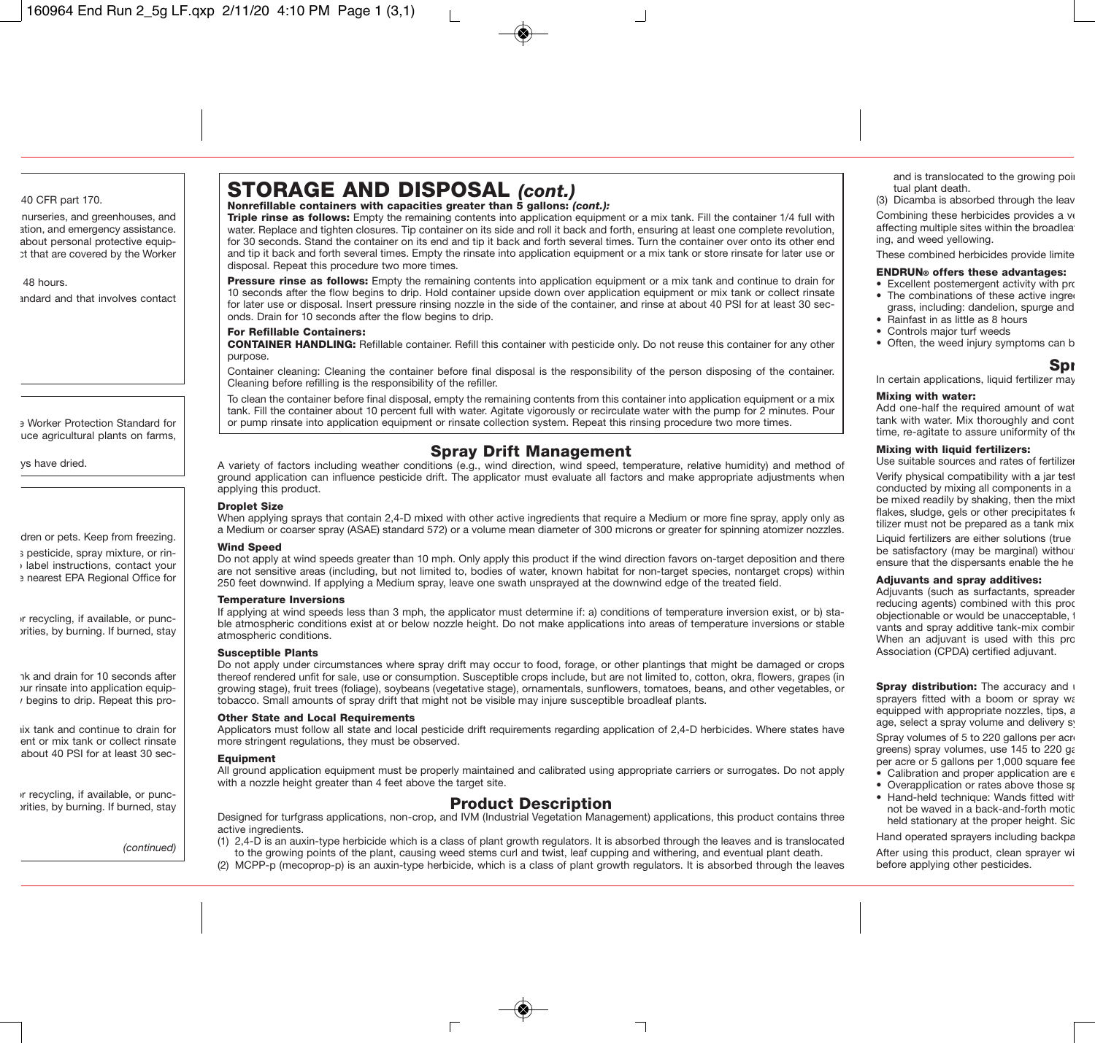# STORAGE AND DISPOSAL *(cont.)*

### Nonrefillable containers with capacities greater than 5 gallons: *(cont.):*

**Triple rinse as follows:** Empty the remaining contents into application equipment or a mix tank. Fill the container 1/4 full with water. Replace and tighten closures. Tip container on its side and roll it back and forth, ensuring at least one complete revolution, for 30 seconds. Stand the container on its end and tip it back and forth several times. Turn the container over onto its other end and tip it back and forth several times. Empty the rinsate into application equipment or a mix tank or store rinsate for later use or disposal. Repeat this procedure two more times.

Pressure rinse as follows: Empty the remaining contents into application equipment or a mix tank and continue to drain for 10 seconds after the flow begins to drip. Hold container upside down over application equipment or mix tank or collect rinsate for later use or disposal. Insert pressure rinsing nozzle in the side of the container, and rinse at about 40 PSI for at least 30 seconds. Drain for 10 seconds after the flow begins to drip.

#### For Refillable Containers:

CONTAINER HANDLING: Refillable container. Refill this container with pesticide only. Do not reuse this container for any other purpose.

Container cleaning: Cleaning the container before final disposal is the responsibility of the person disposing of the container. Cleaning before refilling is the responsibility of the refiller.

To clean the container before final disposal, empty the remaining contents from this container into application equipment or a mix tank. Fill the container about 10 percent full with water. Agitate vigorously or recirculate water with the pump for 2 minutes. Pour or pump rinsate into application equipment or rinsate collection system. Repeat this rinsing procedure two more times.

# Spray Drift Management

A variety of factors including weather conditions (e.g., wind direction, wind speed, temperature, relative humidity) and method of ground application can influence pesticide drift. The applicator must evaluate all factors and make appropriate adjustments when applying this product.

#### Droplet Size

When applying sprays that contain 2.4-D mixed with other active ingredients that require a Medium or more fine spray, apply only as a Medium or coarser spray (ASAE) standard 572) or a volume mean diameter of 300 microns or greater for spinning atomizer nozzles.

#### Wind Speed

Do not apply at wind speeds greater than 10 mph. Only apply this product if the wind direction favors on-target deposition and there are not sensitive areas (including, but not limited to, bodies of water, known habitat for non-target species, nontarget crops) within 250 feet downwind. If applying a Medium spray, leave one swath unsprayed at the downwind edge of the treated field.

#### Temperature Inversions

If applying at wind speeds less than 3 mph, the applicator must determine if: a) conditions of temperature inversion exist, or b) stable atmospheric conditions exist at or below nozzle height. Do not make applications into areas of temperature inversions or stable atmospheric conditions.

#### Susceptible Plants

Do not apply under circumstances where spray drift may occur to food, forage, or other plantings that might be damaged or crops thereof rendered unfit for sale, use or consumption. Susceptible crops include, but are not limited to, cotton, okra, flowers, grapes (in growing stage), fruit trees (foliage), soybeans (vegetative stage), ornamentals, sunflowers, tomatoes, beans, and other vegetables, or tobacco. Small amounts of spray drift that might not be visible may injure susceptible broadleaf plants.

#### Other State and Local Requirements

Applicators must follow all state and local pesticide drift requirements regarding application of 2,4-D herbicides. Where states have more stringent regulations, they must be observed.

#### **Equipment**

All ground application equipment must be properly maintained and calibrated using appropriate carriers or surrogates. Do not apply with a nozzle height greater than 4 feet above the target site.

# Product Description

Designed for turfgrass applications, non-crop, and IVM (Industrial Vegetation Management) applications, this product contains three active ingredients.

- (1) 2,4-D is an auxin-type herbicide which is a class of plant growth regulators. It is absorbed through the leaves and is translocated to the growing points of the plant, causing weed stems curl and twist, leaf cupping and withering, and eventual plant death.
- (2) MCPP-p (mecoprop-p) is an auxin-type herbicide, which is a class of plant growth regulators. It is absorbed through the leaves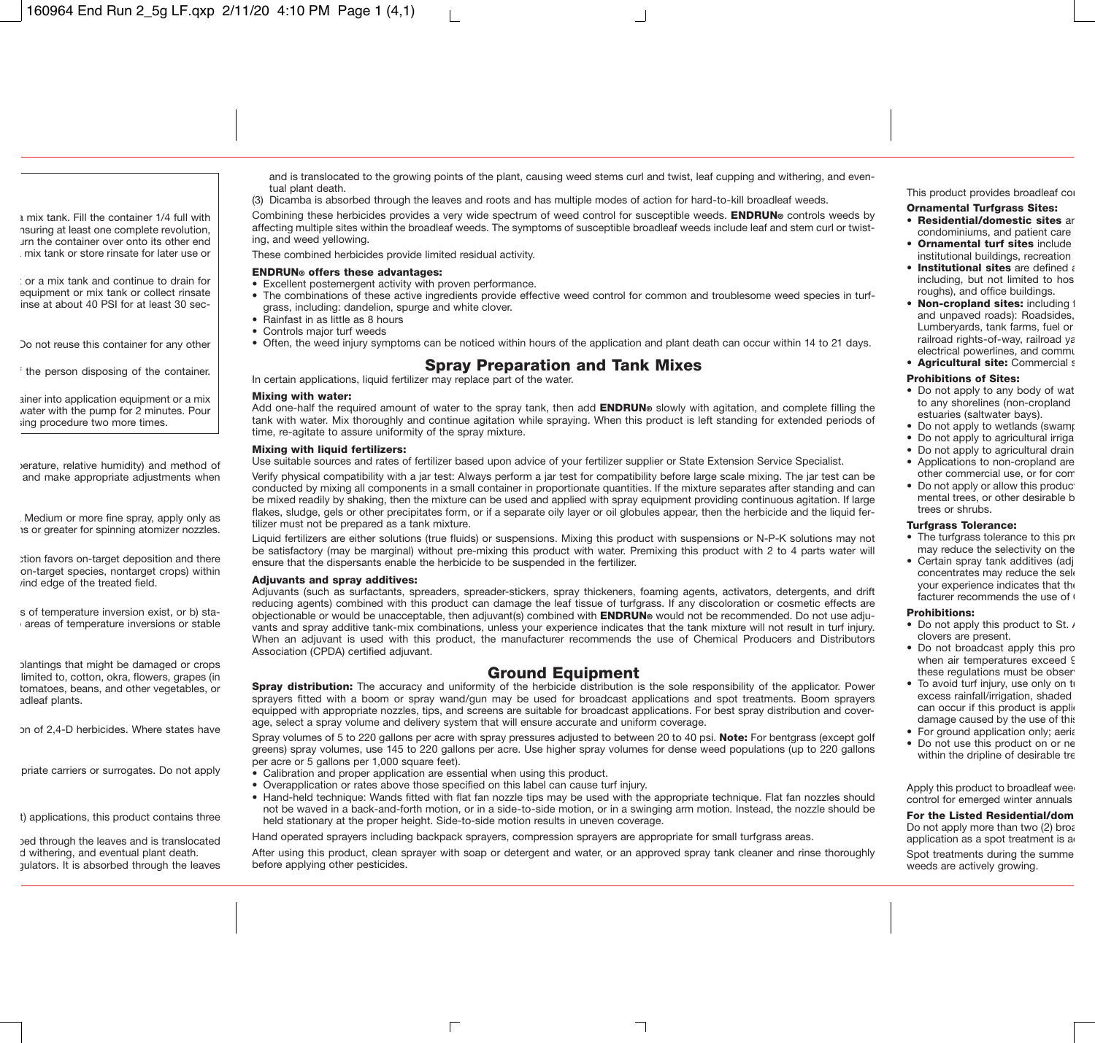and is translocated to the growing points of the plant, causing weed stems curl and twist, leaf cupping and withering, and eventual plant death.

(3) Dicamba is absorbed through the leaves and roots and has multiple modes of action for hard-to-kill broadleaf weeds.

Combining these herbicides provides a very wide spectrum of weed control for susceptible weeds. **ENDRUN**® controls weeds by affecting multiple sites within the broadleaf weeds. The symptoms of susceptible broadleaf weeds include leaf and stem curl or twisting, and weed yellowing.

These combined herbicides provide limited residual activity.

#### ENDRUN® offers these advantages:

- Excellent postemergent activity with proven performance.
- The combinations of these active ingredients provide effective weed control for common and troublesome weed species in turfgrass, including: dandelion, spurge and white clover.
- Rainfast in as little as 8 hours
- Controls major turf weeds
- Often, the weed injury symptoms can be noticed within hours of the application and plant death can occur within 14 to 21 days.

# Spray Preparation and Tank Mixes

In certain applications, liquid fertilizer may replace part of the water.

#### Mixing with water:

Add one-half the required amount of water to the spray tank, then add **ENDRUN**® slowly with agitation, and complete filling the tank with water. Mix thoroughly and continue agitation while spraying. When this product is left standing for extended periods of time, re-agitate to assure uniformity of the spray mixture.

#### Mixing with liquid fertilizers:

Use suitable sources and rates of fertilizer based upon advice of your fertilizer supplier or State Extension Service Specialist.

Verify physical compatibility with a jar test: Always perform a jar test for compatibility before large scale mixing. The jar test can be conducted by mixing all components in a small container in proportionate quantities. If the mixture separates after standing and can be mixed readily by shaking, then the mixture can be used and applied with spray equipment providing continuous agitation. If large flakes, sludge, gels or other precipitates form, or if a separate oily layer or oil globules appear, then the herbicide and the liquid fertilizer must not be prepared as a tank mixture.

Liquid fertilizers are either solutions (true fluids) or suspensions. Mixing this product with suspensions or N-P-K solutions may not be satisfactory (may be marginal) without pre-mixing this product with water. Premixing this product with 2 to 4 parts water will ensure that the dispersants enable the herbicide to be suspended in the fertilizer.

#### Adjuvants and spray additives:

Adjuvants (such as surfactants, spreaders, spreader-stickers, spray thickeners, foaming agents, activators, detergents, and drift reducing agents) combined with this product can damage the leaf tissue of turfgrass. If any discoloration or cosmetic effects are objectionable or would be unacceptable, then adjuvant(s) combined with **ENDRUN**® would not be recommended. Do not use adjuvants and spray additive tank-mix combinations, unless your experience indicates that the tank mixture will not result in turf injury. When an adjuvant is used with this product, the manufacturer recommends the use of Chemical Producers and Distributors Association (CPDA) certified adjuvant.

# Ground Equipment

**Spray distribution:** The accuracy and uniformity of the herbicide distribution is the sole responsibility of the applicator. Power sprayers fitted with a boom or spray wand/gun may be used for broadcast applications and spot treatments. Boom sprayers equipped with appropriate nozzles, tips, and screens are suitable for broadcast applications. For best spray distribution and coverage, select a spray volume and delivery system that will ensure accurate and uniform coverage.

Spray volumes of 5 to 220 gallons per acre with spray pressures adjusted to between 20 to 40 psi. Note: For bentgrass (except golf greens) spray volumes, use 145 to 220 gallons per acre. Use higher spray volumes for dense weed populations (up to 220 gallons per acre or 5 gallons per 1,000 square feet).

- Calibration and proper application are essential when using this product.
- Overapplication or rates above those specified on this label can cause turf injury.
- Hand-held technique: Wands fitted with flat fan nozzle tips may be used with the appropriate technique. Flat fan nozzles should not be waved in a back-and-forth motion, or in a side-to-side motion, or in a swinging arm motion. Instead, the nozzle should be held stationary at the proper height. Side-to-side motion results in uneven coverage.

Hand operated sprayers including backpack sprayers, compression sprayers are appropriate for small turfgrass areas.

After using this product, clean sprayer with soap or detergent and water, or an approved spray tank cleaner and rinse thoroughly before applying other pesticides.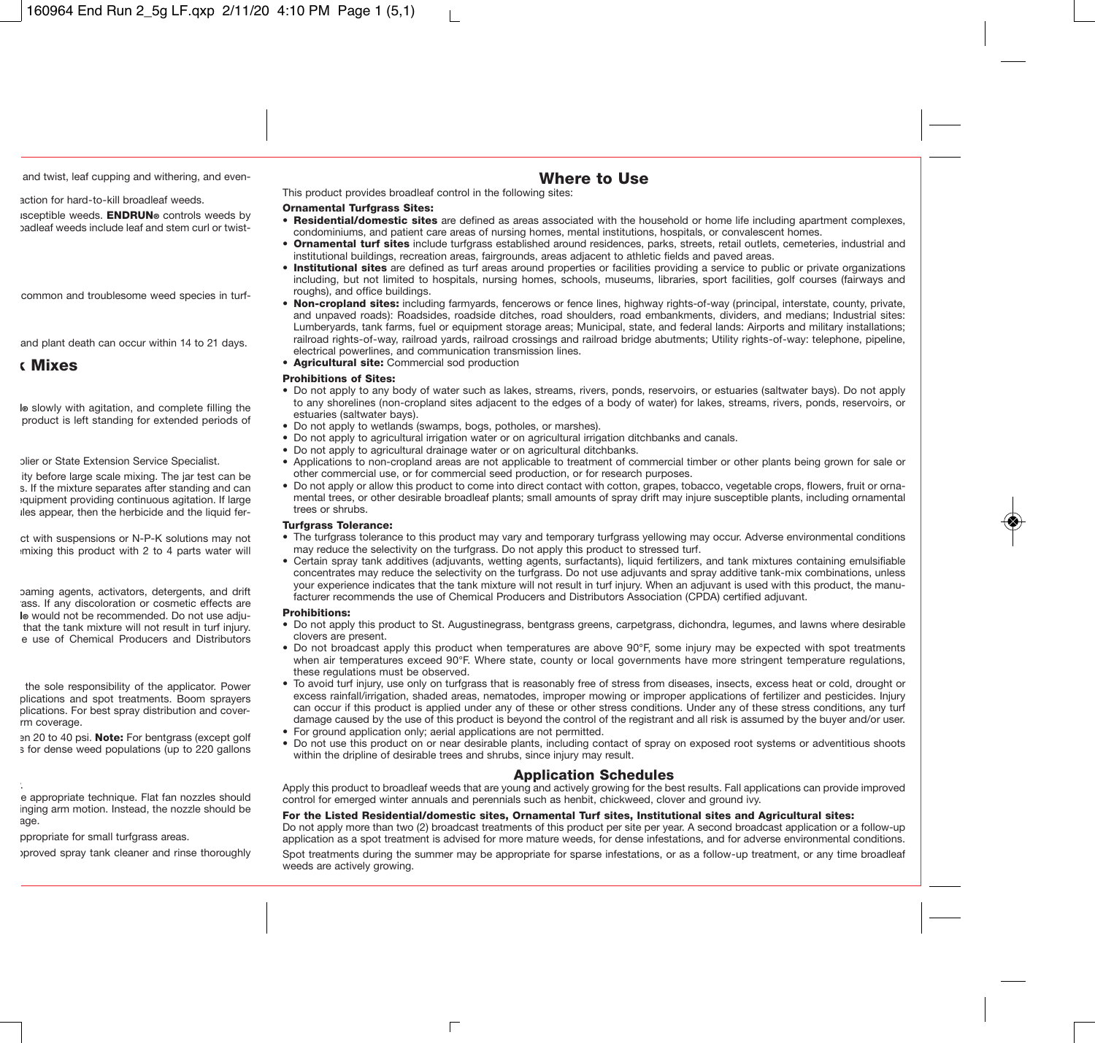# Where to Use

This product provides broadleaf control in the following sites:

## **Ornamental Turfgrass Sites:**

- Residential/domestic sites are defined as areas associated with the household or home life including apartment complexes. condominiums, and patient care areas of nursing homes, mental institutions, hospitals, or convalescent homes.
- Ornamental turf sites include turfgrass established around residences, parks, streets, retail outlets, cemeteries, industrial and institutional buildings, recreation areas, fairgrounds, areas adjacent to athletic fields and paved areas.
- Institutional sites are defined as turf areas around properties or facilities providing a service to public or private organizations including, but not limited to hospitals, nursing homes, schools, museums, libraries, sport facilities, golf courses (fairways and roughs), and office buildings.
- Non-cropland sites: including farmyards, fencerows or fence lines, highway rights-of-way (principal, interstate, county, private and unpaved roads): Roadsides, roadside ditches, road shoulders, road embankments, dividers, and medians; Industrial sites: Lumberyards, tank farms, fuel or equipment storage areas; Municipal, state, and federal lands: Airports and military installations; railroad rights-of-way, railroad yards, railroad crossings and railroad bridge abutments; Utility rights-of-way: telephone, pipeline, electrical powerlines, and communication transmission lines.
- Agricultural site: Commercial sod production

## Prohibitions of Sites:

- Do not apply to any body of water such as lakes, streams, rivers, ponds, reservoirs, or estuaries (saltwater bays). Do not apply to any shorelines (non-cropland sites adjacent to the edges of a body of water) for lakes, streams, rivers, ponds, reservoirs, or estuaries (saltwater bays).
- Do not apply to wetlands (swamps, bogs, potholes, or marshes).
- Do not apply to agricultural irrigation water or on agricultural irrigation ditchbanks and canals.
- Do not apply to agricultural drainage water or on agricultural ditchbanks.
- Applications to non-cropland areas are not applicable to treatment of commercial timber or other plants being grown for sale or other commercial use, or for commercial seed production, or for research purposes.
- Do not apply or allow this product to come into direct contact with cotton, grapes, tobacco, vegetable crops, flowers, fruit or ornamental trees, or other desirable broadleaf plants; small amounts of spray drift may injure susceptible plants, including ornamental trees or shrubs.

#### **Turfgrass Tolerance:**

- The turfgrass tolerance to this product may vary and temporary turfgrass yellowing may occur. Adverse environmental conditions may reduce the selectivity on the turfgrass. Do not apply this product to stressed turf.
- Certain spray tank additives (adjuvants, wetting agents, surfactants), liquid fertilizers, and tank mixtures containing emulsifiable concentrates may reduce the selectivity on the turfgrass. Do not use adjuvants and spray additive tank-mix combinations, unless your experience indicates that the tank mixture will not result in turf injury. When an adjuvant is used with this product, the manufacturer recommends the use of Chemical Producers and Distributors Association (CPDA) certified adjuvant.

#### Prohibitions:

- Do not apply this product to St. Augustinegrass, bentgrass greens, carpetgrass, dichondra, legumes, and lawns where desirable clovers are present.
- Do not broadcast apply this product when temperatures are above 90°F, some injury may be expected with spot treatments when air temperatures exceed 90°F. Where state, county or local governments have more stringent temperature regulations, these regulations must be observed.
- To avoid turf injury, use only on turfgrass that is reasonably free of stress from diseases, insects, excess heat or cold, drought or excess rainfall/irrigation, shaded areas, nematodes, improper mowing or improper applications of fertilizer and pesticides. Injury can occur if this product is applied under any of these or other stress conditions. Under any of these stress conditions, any turf damage caused by the use of this product is beyond the control of the registrant and all risk is assumed by the buyer and/or user.
- For ground application only: aerial applications are not permitted.
- Do not use this product on or near desirable plants, including contact of spray on exposed root systems or adventitious shoots within the dripline of desirable trees and shrubs, since injury may result.

# Application Schedules

Apply this product to broadleaf weeds that are young and actively growing for the best results. Fall applications can provide improved control for emerged winter annuals and perennials such as henbit, chickweed, clover and ground ivy.

#### For the Listed Residential/domestic sites, Ornamental Turf sites, Institutional sites and Agricultural sites:

Do not apply more than two (2) broadcast treatments of this product per site per year. A second broadcast application or a follow-up application as a spot treatment is advised for more mature weeds, for dense infestations, and for adverse environmental conditions.

Spot treatments during the summer may be appropriate for sparse infestations, or as a follow-up treatment, or any time broadleaf weeds are actively growing.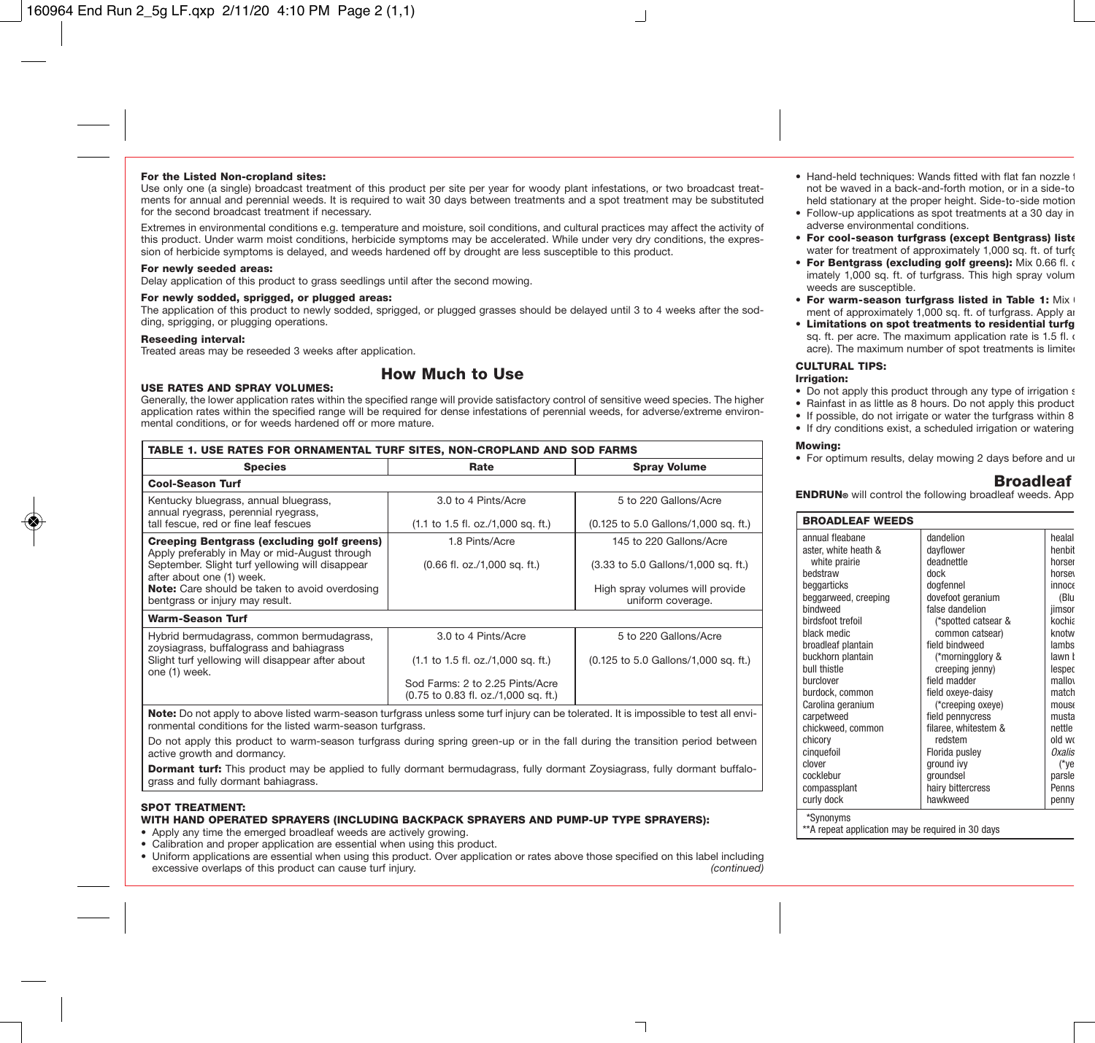#### For the Listed Non-cropland sites:

Use only one (a single) broadcast treatment of this product per site per year for woody plant infestations, or two broadcast treatments for annual and perennial weeds. It is required to wait 30 days between treatments and a spot treatment may be substituted for the second broadcast treatment if necessary.

Extremes in environmental conditions e.g. temperature and moisture, soil conditions, and cultural practices may affect the activity of this product. Under warm moist conditions, herbicide symptoms may be accelerated. While under very dry conditions, the expression of herbicide symptoms is delayed, and weeds hardened off by drought are less susceptible to this product.

#### For newly seeded areas:

Delay application of this product to grass seedlings until after the second mowing.

#### For newly sodded, sprigged, or plugged areas:

The application of this product to newly sodded, sprigged, or plugged grasses should be delayed until 3 to 4 weeks after the sodding, sprigging, or plugging operations.

#### Reseeding interval:

Treated areas may be reseeded 3 weeks after application.

# How Much to Use USE RATES AND SPRAY VOLUMES:

Generally, the lower application rates within the specified range will provide satisfactory control of sensitive weed species. The higher application rates within the specified range will be required for dense infestations of perennial weeds, for adverse/extreme environmental conditions, or for weeds hardened off or more mature.

| TABLE 1. USE RATES FOR ORNAMENTAL TURF SITES, NON-CROPLAND AND SOD FARMS                           |                                                                         |                                                      |  |  |
|----------------------------------------------------------------------------------------------------|-------------------------------------------------------------------------|------------------------------------------------------|--|--|
| <b>Species</b>                                                                                     | Rate                                                                    | <b>Spray Volume</b>                                  |  |  |
| <b>Cool-Season Turf</b>                                                                            |                                                                         |                                                      |  |  |
| Kentucky bluegrass, annual bluegrass,<br>annual ryegrass, perennial ryegrass,                      | 3.0 to 4 Pints/Acre                                                     | 5 to 220 Gallons/Acre                                |  |  |
| tall fescue, red or fine leaf fescues                                                              | (1.1 to 1.5 fl. oz./1,000 sq. ft.)                                      | (0.125 to 5.0 Gallons/1,000 sq. ft.)                 |  |  |
| <b>Creeping Bentgrass (excluding golf greens)</b><br>Apply preferably in May or mid-August through | 1.8 Pints/Acre                                                          | 145 to 220 Gallons/Acre                              |  |  |
| September. Slight turf yellowing will disappear<br>after about one (1) week.                       | $(0.66$ fl. oz./1,000 sq. ft.)                                          | (3.33 to 5.0 Gallons/1,000 sq. ft.)                  |  |  |
| <b>Note:</b> Care should be taken to avoid overdosing<br>bentgrass or injury may result.           |                                                                         | High spray volumes will provide<br>uniform coverage. |  |  |
| <b>Warm-Season Turf</b>                                                                            |                                                                         |                                                      |  |  |
| Hybrid bermudagrass, common bermudagrass,<br>zoysiagrass, buffalograss and bahiagrass              | 3.0 to 4 Pints/Acre                                                     | 5 to 220 Gallons/Acre                                |  |  |
| Slight turf yellowing will disappear after about<br>one (1) week.                                  | (1.1 to 1.5 fl. oz./1,000 sq. ft.)                                      | (0.125 to 5.0 Gallons/1,000 sq. ft.)                 |  |  |
|                                                                                                    | Sod Farms: 2 to 2.25 Pints/Acre<br>(0.75 to 0.83 fl. oz./1,000 sq. ft.) |                                                      |  |  |
|                                                                                                    |                                                                         |                                                      |  |  |

Note: Do not apply to above listed warm-season turfgrass unless some turf injury can be tolerated. It is impossible to test all environmental conditions for the listed warm-season turfgrass.

Do not apply this product to warm-season turfgrass during spring green-up or in the fall during the transition period between active growth and dormancy.

Dormant turf: This product may be applied to fully dormant bermudagrass, fully dormant Zoysiagrass, fully dormant buffalograss and fully dormant bahiagrass.

#### SPOT TREATMENT:

#### WITH HAND OPERATED SPRAYERS (INCLUDING BACKPACK SPRAYERS AND PUMP-UP TYPE SPRAYERS):

- Apply any time the emerged broadleaf weeds are actively growing.
- Calibration and proper application are essential when using this product.
- Uniform applications are essential when using this product. Over application or rates above those specified on this label including excessive overlaps of this product can cause turf injury. *(continued)*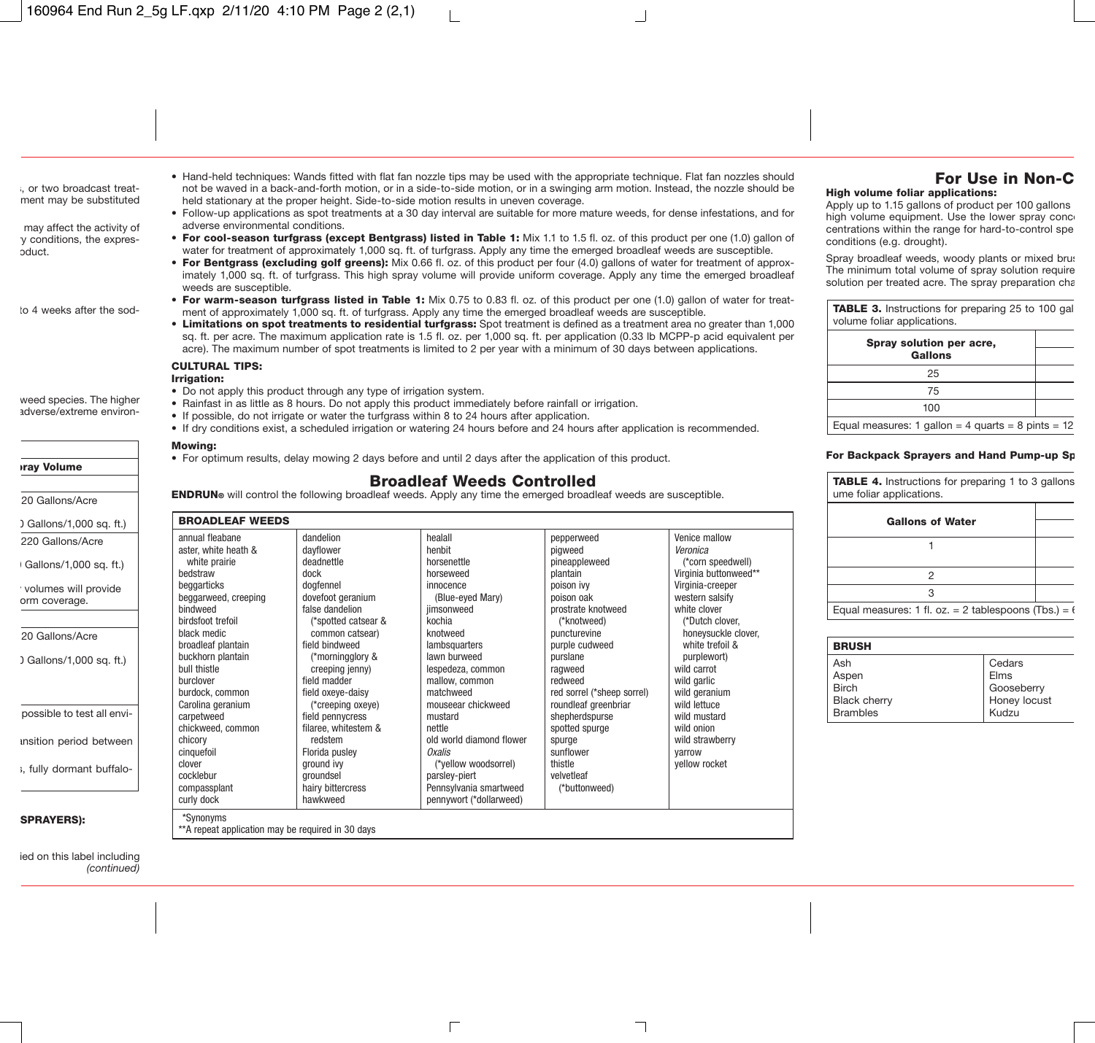- Hand-held techniques: Wands fitted with flat fan nozzle tips may be used with the appropriate technique. Flat fan nozzles should not be waved in a back-and-forth motion, or in a side-to-side motion, or in a swinging arm motion. Instead, the nozzle should be held stationary at the proper height. Side-to-side motion results in uneven coverage.
- Follow-up applications as spot treatments at a 30 day interval are suitable for more mature weeds, for dense infestations, and for adverse environmental conditions.
- For cool-season turfgrass (except Bentgrass) listed in Table 1: Mix 1.1 to 1.5 fl. oz. of this product per one (1.0) gallon of water for treatment of approximately 1,000 sq. ft. of turfgrass. Apply any time the emerged broadleaf weeds are susceptible.
- For Bentgrass (excluding golf greens): Mix 0.66 fl. oz. of this product per four (4.0) gallons of water for treatment of approximately 1,000 sq. ft. of turfgrass. This high spray volume will provide uniform coverage. Apply any time the emerged broadleaf weeds are susceptible.
- For warm-season turfgrass listed in Table 1: Mix 0.75 to 0.83 fl. oz. of this product per one (1.0) gallon of water for treatment of approximately 1,000 sq. ft. of turfgrass. Apply any time the emerged broadleaf weeds are susceptible.
- Limitations on spot treatments to residential turfgrass: Spot treatment is defined as a treatment area no greater than 1,000 sq. ft. per acre. The maximum application rate is 1.5 fl. oz. per 1,000 sq. ft. per application (0.33 lb MCPP-p acid equivalent per acre). The maximum number of spot treatments is limited to 2 per year with a minimum of 30 days between applications.

#### CULTURAL TIPS:

#### Irrigation:

- Do not apply this product through any type of irrigation system.
- Rainfast in as little as 8 hours. Do not apply this product immediately before rainfall or irrigation.
- If possible, do not irrigate or water the turfgrass within 8 to 24 hours after application.
- If dry conditions exist, a scheduled irrigation or watering 24 hours before and 24 hours after application is recommended.

#### Mowing:

• For optimum results, delay mowing 2 days before and until 2 days after the application of this product.

**Broadleaf Weeds Controlled**<br>**ENDRUN**® will control the following broadleaf weeds. Apply any time the emerged broadleaf weeds are susceptible.

| <b>BROADLEAF WEEDS</b>                                          |                      |                          |                            |                       |
|-----------------------------------------------------------------|----------------------|--------------------------|----------------------------|-----------------------|
| annual fleabane                                                 | dandelion            | healall                  | pepperweed                 | Venice mallow         |
| aster, white heath &                                            | dayflower            | henbit                   | pigweed                    | Veronica              |
| white prairie                                                   | deadnettle           | horsenettle              | pineappleweed              | (*corn speedwell)     |
| bedstraw                                                        | dock                 | horseweed                | plantain                   | Virginia buttonweed** |
| beggarticks                                                     | doafennel            | innocence                | poison ivv                 | Virginia-creeper      |
| beggarweed, creeping                                            | dovefoot geranium    | (Blue-eyed Mary)         | poison oak                 | western salsify       |
| bindweed                                                        | false dandelion      | iimsonweed               | prostrate knotweed         | white clover          |
| birdsfoot trefoil                                               | (*spotted catsear &  | kochia                   | (*knotweed)                | "Dutch clover.        |
| black medic                                                     | common catsear)      | knotweed                 | puncturevine               | honeysuckle clover,   |
| broadleaf plantain                                              | field bindweed       | lambsquarters            | purple cudweed             | white trefoil &       |
| buckhorn plantain                                               | (*morningglory &     | lawn burweed             | purslane                   | purplewort)           |
| bull thistle                                                    | creeping jenny)      | lespedeza, common        | ragweed                    | wild carrot           |
| burclover                                                       | field madder         | mallow, common           | redweed                    | wild garlic           |
| burdock, common                                                 | field oxeye-daisy    | matchweed                | red sorrel (*sheep sorrel) | wild geranium         |
| Carolina geranium                                               | (*creeping oxeye)    | mouseear chickweed       | roundleaf greenbriar       | wild lettuce          |
| carpetweed                                                      | field pennycress     | mustard                  | shepherdspurse             | wild mustard          |
| chickweed, common                                               | filaree, whitestem & | nettle                   | spotted spurge             | wild onion            |
| chicory                                                         | redstem              | old world diamond flower | spurge                     | wild strawberry       |
| cinquefoil                                                      | Florida pusley       | Oxalis                   | sunflower                  | varrow                |
| clover                                                          | ground ivy           | (*yellow woodsorrel)     | thistle                    | yellow rocket         |
| cocklebur                                                       | groundsel            | parsley-piert            | velvetleaf                 |                       |
| compassplant                                                    | hairy bittercress    | Pennsylvania smartweed   | (*buttonweed)              |                       |
| curly dock                                                      | hawkweed             | pennywort (*dollarweed)  |                            |                       |
| *Synonyms<br>** A repeat application may be required in 30 days |                      |                          |                            |                       |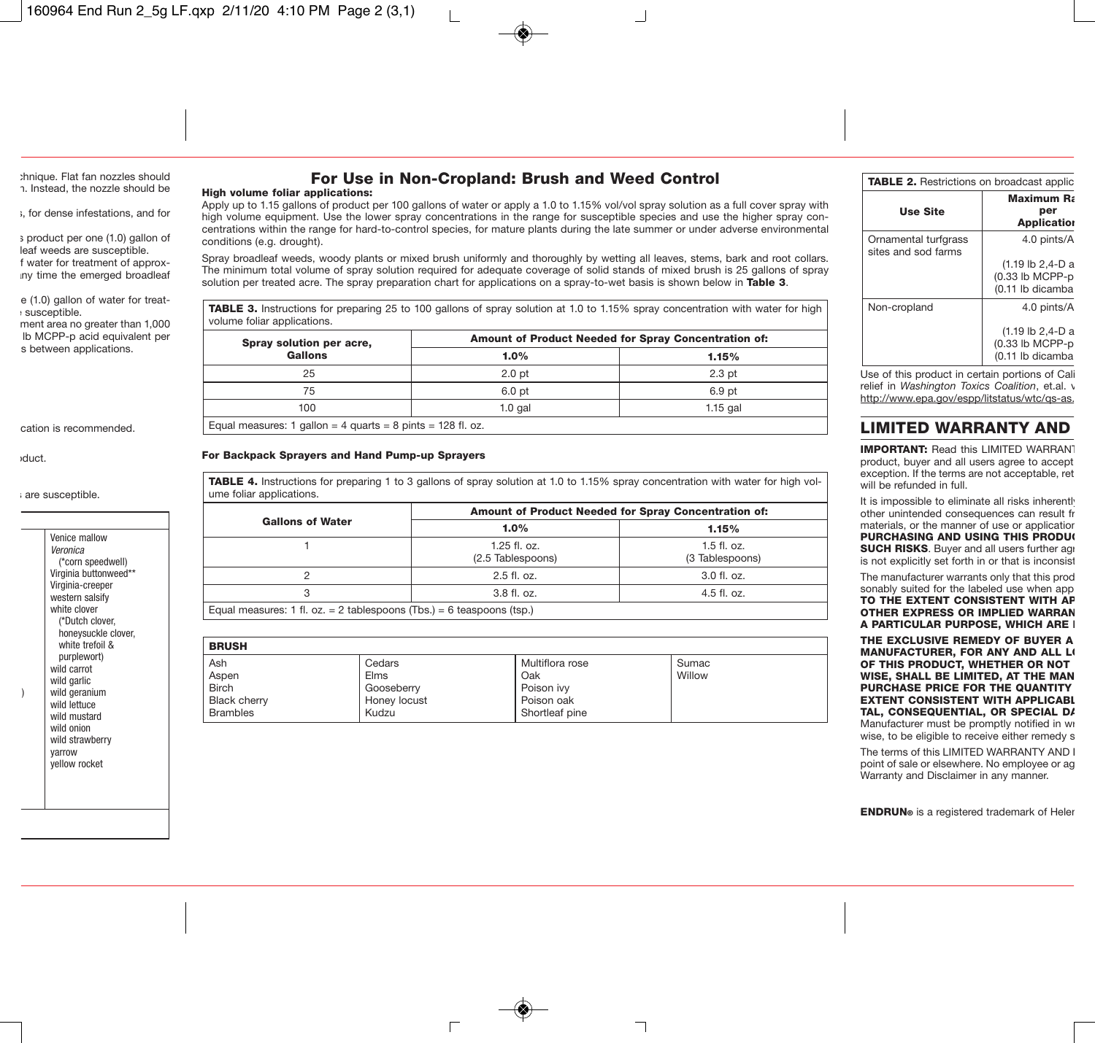# For Use in Non-Cropland: Brush and Weed Control

#### High volume foliar applications:

Apply up to 1.15 gallons of product per 100 gallons of water or apply a 1.0 to 1.15% vol/vol spray solution as a full cover spray with high volume equipment. Use the lower spray concentrations in the range for susceptible species and use the higher spray concentrations within the range for hard-to-control species, for mature plants during the late summer or under adverse environmental conditions (e.g. drought).

Spray broadleaf weeds, woody plants or mixed brush uniformly and thoroughly by wetting all leaves, stems, bark and root collars. The minimum total volume of spray solution required for adequate coverage of solid stands of mixed brush is 25 gallons of spray solution per treated acre. The spray preparation chart for applications on a spray-to-wet basis is shown below in **Table 3.** 

TABLE 3. Instructions for preparing 25 to 100 gallons of spray solution at 1.0 to 1.15% spray concentration with water for high volume foliar applications.

| Spray solution per acre,                                      | Amount of Product Needed for Spray Concentration of: |                   |  |
|---------------------------------------------------------------|------------------------------------------------------|-------------------|--|
| Gallons                                                       | 1.0%                                                 | 1.15%             |  |
| 25                                                            | 2.0 <sub>pt</sub>                                    | 2.3 <sub>pt</sub> |  |
| 75                                                            | 6.0 pt                                               | 6.9 pt            |  |
| 100                                                           | $1.0$ gal                                            | $1.15$ aal        |  |
| Equal measures: 1 gallon = 4 guarts = 8 pints = $128$ fl. oz. |                                                      |                   |  |

#### For Backpack Sprayers and Hand Pump-up Sprayers

**TABLE 4.** Instructions for preparing 1 to 3 gallons of spray solution at 1.0 to 1.15% spray concentration with water for high volume foliar applications.

|                                                                       | Amount of Product Needed for Spray Concentration of: |                                  |  |
|-----------------------------------------------------------------------|------------------------------------------------------|----------------------------------|--|
| <b>Gallons of Water</b>                                               | $1.0\%$                                              | 1.15%                            |  |
|                                                                       | $1.25$ fl. oz.<br>(2.5 Tablespoons)                  | $1.5$ fl. oz.<br>(3 Tablespoons) |  |
|                                                                       | 2.5 fl. oz.                                          | 3.0 fl. oz.                      |  |
|                                                                       | 3.8 fl. oz.                                          | $4.5$ fl. oz.                    |  |
| Equal measures: 1 fl. oz. = 2 tablespoons (Tbs.) = 6 teaspoons (tsp.) |                                                      |                                  |  |

| <b>BRUSH</b>    |              |                 |        |
|-----------------|--------------|-----------------|--------|
| Ash             | Cedars       | Multiflora rose | Sumac  |
| Aspen           | <b>Elms</b>  | Oak             | Willow |
| <b>Birch</b>    | Gooseberry   | Poison ivv      |        |
| Black cherry    | Honey locust | Poison oak      |        |
| <b>Brambles</b> | Kudzu        | Shortleaf pine  |        |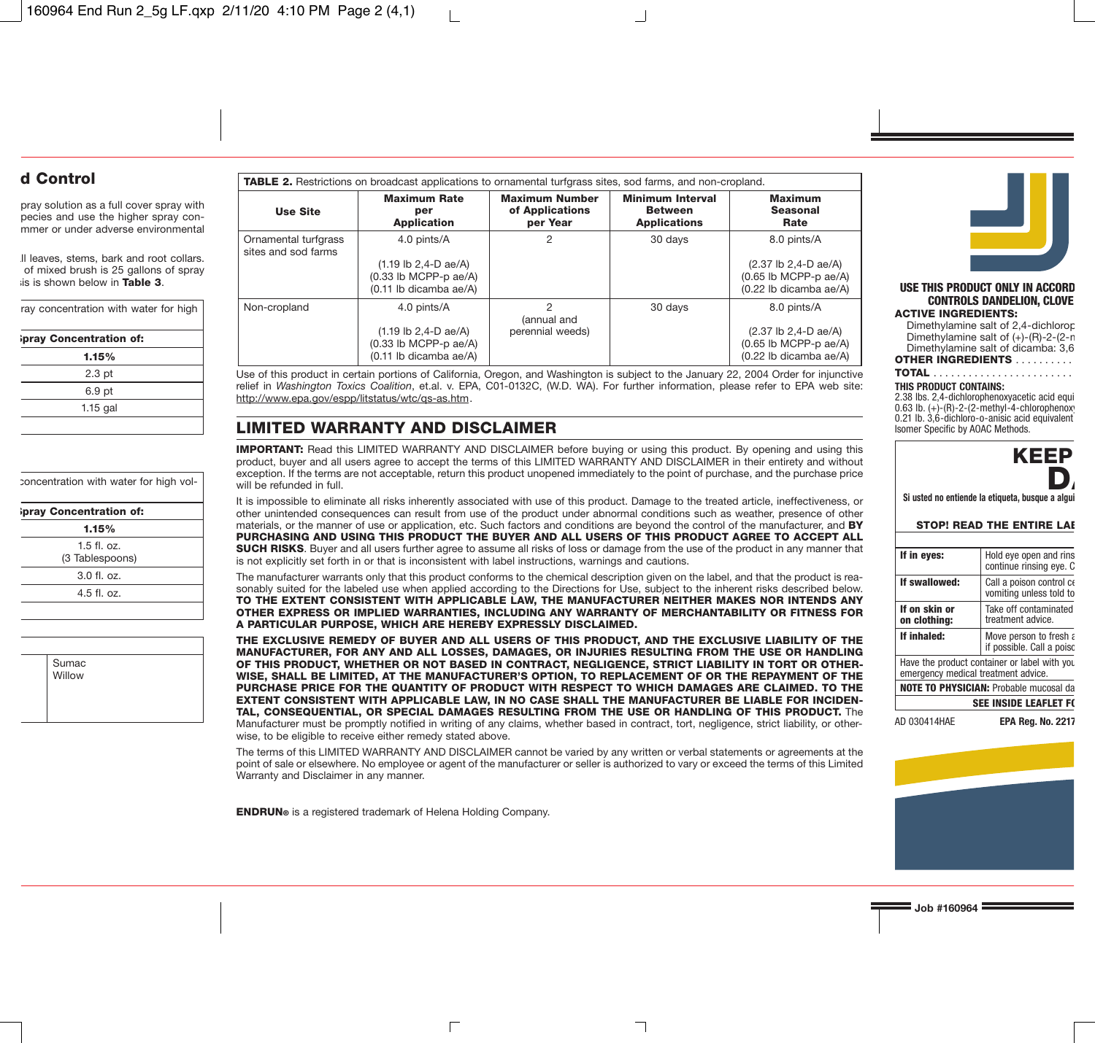| <b>TABLE 2.</b> Restrictions on broadcast applications to ornamental turfgrass sites, sod farms, and non-cropland. |                                                                                                              |                                                      |                                                                  |                                                                                          |
|--------------------------------------------------------------------------------------------------------------------|--------------------------------------------------------------------------------------------------------------|------------------------------------------------------|------------------------------------------------------------------|------------------------------------------------------------------------------------------|
| <b>Use Site</b>                                                                                                    | <b>Maximum Rate</b><br>per<br><b>Application</b>                                                             | <b>Maximum Number</b><br>of Applications<br>per Year | <b>Minimum Interval</b><br><b>Between</b><br><b>Applications</b> | <b>Maximum</b><br>Seasonal<br>Rate                                                       |
| Ornamental turfgrass<br>sites and sod farms                                                                        | 4.0 pints/A<br>$(1.19 \text{ lb } 2, 4-D \text{ ae}/A)$<br>$(0.33$ lb MCPP-p ae/A)<br>(0.11 lb dicamba ae/A) | 2                                                    | 30 days                                                          | 8.0 pints/A<br>(2.37 lb 2,4-D ae/A)<br>$(0.65$ lb MCPP-p ae/A)<br>(0.22 lb dicamba ae/A) |
| Non-cropland                                                                                                       | 4.0 pints/A<br>$(1.19 \text{ lb } 2, 4-D \text{ ae}/A)$<br>$(0.33$ lb MCPP-p ae/A)<br>(0.11 lb dicamba ae/A) | 2<br>(annual and<br>perennial weeds)                 | 30 days                                                          | 8.0 pints/A<br>(2.37 lb 2,4-D ae/A)<br>$(0.65$ lb MCPP-p ae/A)<br>(0.22 lb dicamba ae/A) |

Use of this product in certain portions of California, Oregon, and Washington is subject to the January 22, 2004 Order for injunctive relief in *Washington Toxics Coalition*, et.al. v. EPA, C01-0132C, (W.D. WA). For further information, please refer to EPA web site: http://www.epa.gov/espp/litstatus/wtc/qs-as.htm.

# **LIMITED WARRANTY AND DISCLAIMER**

IMPORTANT: Read this LIMITED WARRANTY AND DISCLAIMER before buying or using this product. By opening and using this product, buyer and all users agree to accept the terms of this LIMITED WARRANTY AND DISCLAIMER in their entirety and without exception. If the terms are not acceptable, return this product unopened immediately to the point of purchase, and the purchase price will be refunded in full.

It is impossible to eliminate all risks inherently associated with use of this product. Damage to the treated article, ineffectiveness, or other unintended consequences can result from use of the product under abnormal conditions such as weather, presence of other materials, or the manner of use or application, etc. Such factors and conditions are beyond the control of the manufacturer, and **BY** PURCHASING AND USING THIS PRODUCT THE BUYER AND ALL USERS OF THIS PRODUCT AGREE TO ACCEPT ALL SUCH RISKS. Buyer and all users further agree to assume all risks of loss or damage from the use of the product in any manner that is not explicitly set forth in or that is inconsistent with label instructions, warnings and cautions.

The manufacturer warrants only that this product conforms to the chemical description given on the label, and that the product is reasonably suited for the labeled use when applied according to the Directions for Use, subject to the inherent risks described below. TO THE EXTENT CONSISTENT WITH APPLICABLE LAW, THE MANUFACTURER NEITHER MAKES NOR INTENDS ANY OTHER EXPRESS OR IMPLIED WARRANTIES, INCLUDING ANY WARRANTY OF MERCHANTABILITY OR FITNESS FOR A PARTICULAR PURPOSE, WHICH ARE HEREBY EXPRESSLY DISCLAIMED.

THE EXCLUSIVE REMEDY OF BUYER AND ALL USERS OF THIS PRODUCT, AND THE EXCLUSIVE LIABILITY OF THE MANUFACTURER, FOR ANY AND ALL LOSSES, DAMAGES, OR INJURIES RESULTING FROM THE USE OR HANDLING OF THIS PRODUCT, WHETHER OR NOT BASED IN CONTRACT, NEGLIGENCE, STRICT LIABILITY IN TORT OR OTHER-WISE, SHALL BE LIMITED, AT THE MANUFACTURER'S OPTION, TO REPLACEMENT OF OR THE REPAYMENT OF THE PURCHASE PRICE FOR THE QUANTITY OF PRODUCT WITH RESPECT TO WHICH DAMAGES ARE CLAIMED. TO THE EXTENT CONSISTENT WITH APPLICABLE LAW, IN NO CASE SHALL THE MANUFACTURER BE LIABLE FOR INCIDEN-TAL, CONSEQUENTIAL, OR SPECIAL DAMAGES RESULTING FROM THE USE OR HANDLING OF THIS PRODUCT. The Manufacturer must be promptly notified in writing of any claims, whether based in contract, tort, negligence, strict liability, or otherwise, to be eligible to receive either remedy stated above.

The terms of this LIMITED WARRANTY AND DISCLAIMER cannot be varied by any written or verbal statements or agreements at the point of sale or elsewhere. No employee or agent of the manufacturer or seller is authorized to vary or exceed the terms of this Limited Warranty and Disclaimer in any manner.

ENDRUN® is a registered trademark of Helena Holding Company.